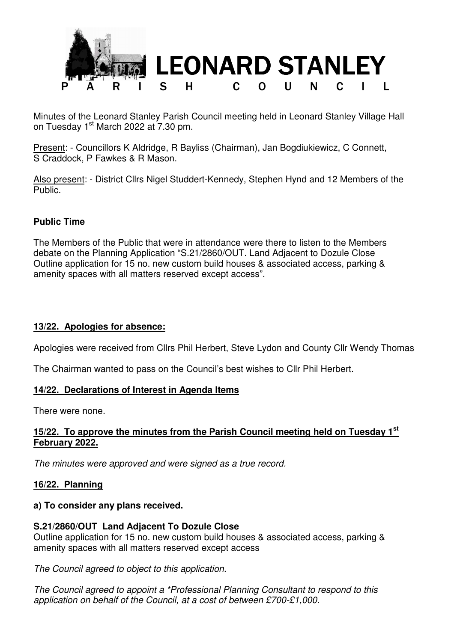

Minutes of the Leonard Stanley Parish Council meeting held in Leonard Stanley Village Hall on Tuesday 1<sup>st</sup> March 2022 at 7.30 pm.

Present: - Councillors K Aldridge, R Bayliss (Chairman), Jan Bogdiukiewicz, C Connett, S Craddock, P Fawkes & R Mason.

Also present: - District Cllrs Nigel Studdert-Kennedy, Stephen Hynd and 12 Members of the Public.

## **Public Time**

The Members of the Public that were in attendance were there to listen to the Members debate on the Planning Application "S.21/2860/OUT. Land Adjacent to Dozule Close Outline application for 15 no. new custom build houses & associated access, parking & amenity spaces with all matters reserved except access".

### **13/22. Apologies for absence:**

Apologies were received from Cllrs Phil Herbert, Steve Lydon and County Cllr Wendy Thomas

The Chairman wanted to pass on the Council's best wishes to Cllr Phil Herbert.

#### **14/22. Declarations of Interest in Agenda Items**

There were none.

### **15/22. To approve the minutes from the Parish Council meeting held on Tuesday 1st February 2022.**

The minutes were approved and were signed as a true record.

### **16/22. Planning**

#### **a) To consider any plans received.**

### **S.21/2860/OUT Land Adjacent To Dozule Close**

Outline application for 15 no. new custom build houses & associated access, parking & amenity spaces with all matters reserved except access

The Council agreed to object to this application.

The Council agreed to appoint a \*Professional Planning Consultant to respond to this application on behalf of the Council, at a cost of between £700-£1,000.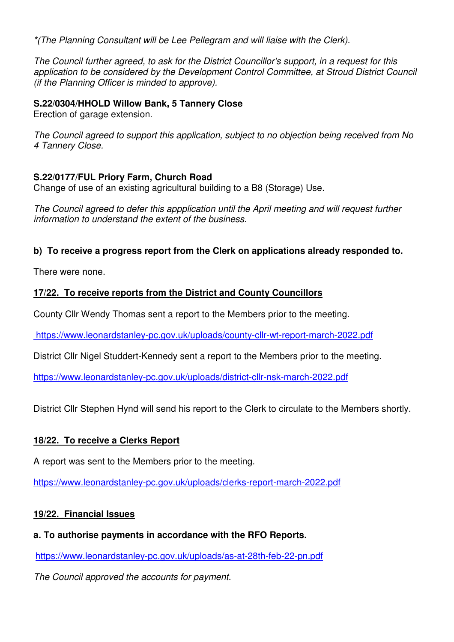\*(The Planning Consultant will be Lee Pellegram and will liaise with the Clerk).

The Council further agreed, to ask for the District Councillor's support, in a request for this application to be considered by the Development Control Committee, at Stroud District Council (if the Planning Officer is minded to approve).

# **S.22/0304/HHOLD Willow Bank, 5 Tannery Close**

Erection of garage extension.

The Council agreed to support this application, subject to no objection being received from No 4 Tannery Close.

## **S.22/0177/FUL Priory Farm, Church Road**

Change of use of an existing agricultural building to a B8 (Storage) Use.

The Council agreed to defer this appplication until the April meeting and will request further information to understand the extent of the business.

# **b) To receive a progress report from the Clerk on applications already responded to.**

There were none.

# **17/22. To receive reports from the District and County Councillors**

County Cllr Wendy Thomas sent a report to the Members prior to the meeting.

https://www.leonardstanley-pc.gov.uk/uploads/county-cllr-wt-report-march-2022.pdf

District Cllr Nigel Studdert-Kennedy sent a report to the Members prior to the meeting.

https://www.leonardstanley-pc.gov.uk/uploads/district-cllr-nsk-march-2022.pdf

District Cllr Stephen Hynd will send his report to the Clerk to circulate to the Members shortly.

# **18/22. To receive a Clerks Report**

A report was sent to the Members prior to the meeting.

https://www.leonardstanley-pc.gov.uk/uploads/clerks-report-march-2022.pdf

### **19/22. Financial Issues**

# **a. To authorise payments in accordance with the RFO Reports.**

https://www.leonardstanley-pc.gov.uk/uploads/as-at-28th-feb-22-pn.pdf

The Council approved the accounts for payment.